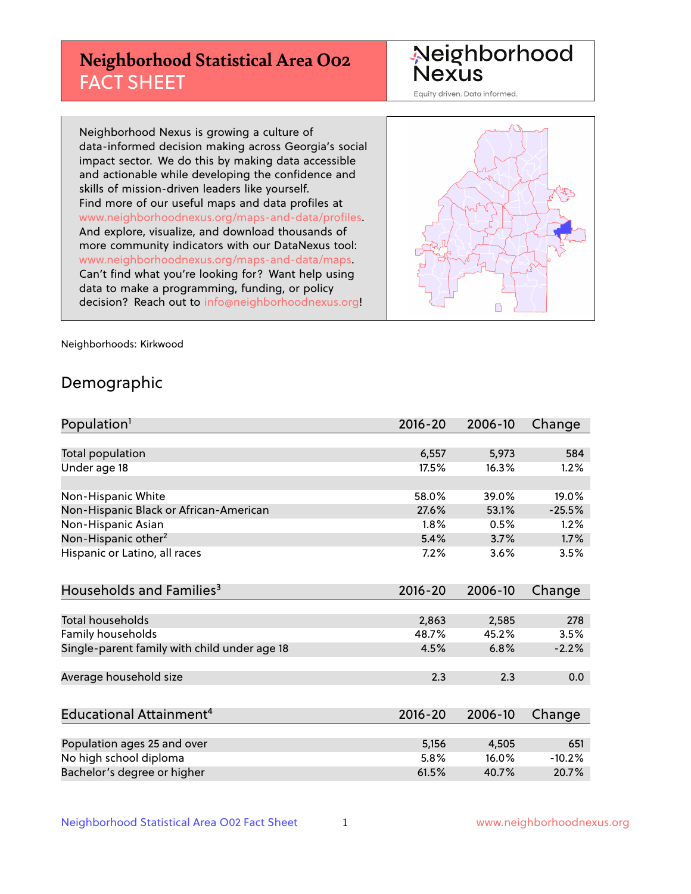# **Neighborhood Statistical Area O02** FACT SHEET

Neighborhood<br>Nexus

Equity driven. Data informed.

Neighborhood Nexus is growing a culture of data-informed decision making across Georgia's social impact sector. We do this by making data accessible and actionable while developing the confidence and skills of mission-driven leaders like yourself. Find more of our useful maps and data profiles at www.neighborhoodnexus.org/maps-and-data/profiles. And explore, visualize, and download thousands of more community indicators with our DataNexus tool: www.neighborhoodnexus.org/maps-and-data/maps. Can't find what you're looking for? Want help using data to make a programming, funding, or policy decision? Reach out to [info@neighborhoodnexus.org!](mailto:info@neighborhoodnexus.org)



Neighborhoods: Kirkwood

### Demographic

| Population <sup>1</sup>                      | $2016 - 20$ | 2006-10 | Change   |
|----------------------------------------------|-------------|---------|----------|
|                                              |             |         |          |
| Total population                             | 6,557       | 5,973   | 584      |
| Under age 18                                 | 17.5%       | 16.3%   | 1.2%     |
| Non-Hispanic White                           | 58.0%       | 39.0%   | 19.0%    |
| Non-Hispanic Black or African-American       | 27.6%       | 53.1%   | $-25.5%$ |
| Non-Hispanic Asian                           | 1.8%        | 0.5%    | 1.2%     |
| Non-Hispanic other <sup>2</sup>              | 5.4%        | 3.7%    | 1.7%     |
| Hispanic or Latino, all races                | 7.2%        | 3.6%    | 3.5%     |
| Households and Families <sup>3</sup>         | $2016 - 20$ | 2006-10 | Change   |
|                                              |             |         |          |
| <b>Total households</b>                      | 2,863       | 2,585   | 278      |
| Family households                            | 48.7%       | 45.2%   | 3.5%     |
| Single-parent family with child under age 18 | 4.5%        | 6.8%    | $-2.2%$  |
| Average household size                       | 2.3         | 2.3     | 0.0      |
| Educational Attainment <sup>4</sup>          | $2016 - 20$ | 2006-10 | Change   |
|                                              |             |         |          |
| Population ages 25 and over                  | 5,156       | 4,505   | 651      |
| No high school diploma                       | 5.8%        | 16.0%   | $-10.2%$ |
| Bachelor's degree or higher                  | 61.5%       | 40.7%   | 20.7%    |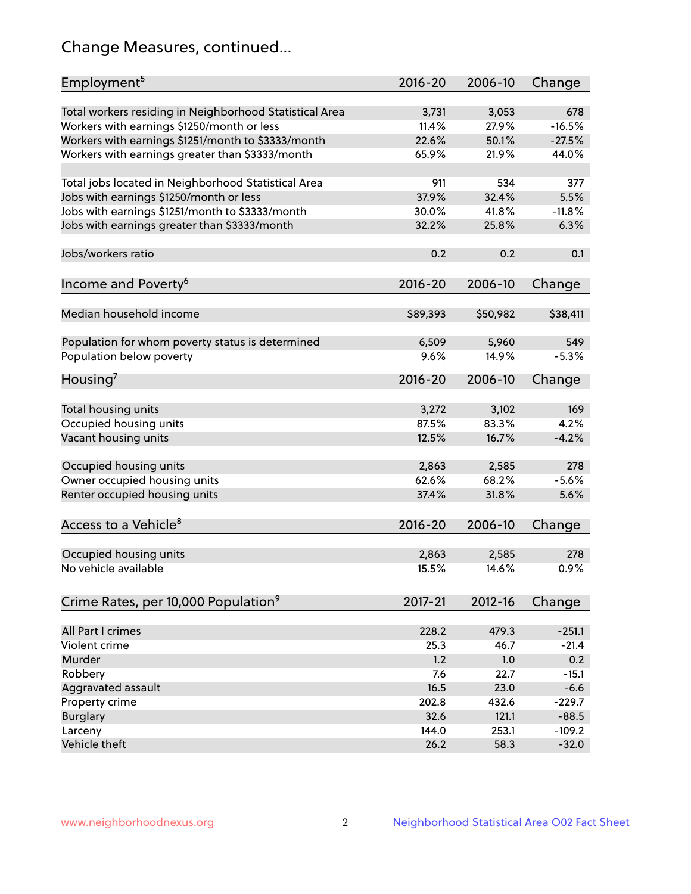# Change Measures, continued...

| Employment <sup>5</sup>                                 | $2016 - 20$ | 2006-10  | Change   |
|---------------------------------------------------------|-------------|----------|----------|
| Total workers residing in Neighborhood Statistical Area | 3,731       | 3,053    | 678      |
| Workers with earnings \$1250/month or less              | 11.4%       | 27.9%    | $-16.5%$ |
| Workers with earnings \$1251/month to \$3333/month      | 22.6%       | 50.1%    | $-27.5%$ |
| Workers with earnings greater than \$3333/month         | 65.9%       | 21.9%    | 44.0%    |
|                                                         |             |          |          |
| Total jobs located in Neighborhood Statistical Area     | 911         | 534      | 377      |
| Jobs with earnings \$1250/month or less                 | 37.9%       | 32.4%    | 5.5%     |
| Jobs with earnings \$1251/month to \$3333/month         | 30.0%       | 41.8%    | $-11.8%$ |
| Jobs with earnings greater than \$3333/month            | 32.2%       | 25.8%    | 6.3%     |
|                                                         |             |          |          |
| Jobs/workers ratio                                      | 0.2         | 0.2      | 0.1      |
|                                                         |             |          |          |
| Income and Poverty <sup>6</sup>                         | $2016 - 20$ | 2006-10  | Change   |
|                                                         |             |          |          |
| Median household income                                 | \$89,393    | \$50,982 | \$38,411 |
|                                                         |             |          |          |
| Population for whom poverty status is determined        | 6,509       | 5,960    | 549      |
| Population below poverty                                | 9.6%        | 14.9%    | $-5.3%$  |
|                                                         | $2016 - 20$ | 2006-10  | Change   |
| Housing'                                                |             |          |          |
| Total housing units                                     | 3,272       | 3,102    | 169      |
| Occupied housing units                                  | 87.5%       | 83.3%    | 4.2%     |
| Vacant housing units                                    | 12.5%       | 16.7%    | $-4.2%$  |
|                                                         |             |          |          |
| Occupied housing units                                  | 2,863       | 2,585    | 278      |
| Owner occupied housing units                            | 62.6%       | 68.2%    | $-5.6%$  |
| Renter occupied housing units                           | 37.4%       | 31.8%    | 5.6%     |
|                                                         |             |          |          |
| Access to a Vehicle <sup>8</sup>                        | $2016 - 20$ | 2006-10  | Change   |
|                                                         |             |          |          |
| Occupied housing units                                  | 2,863       | 2,585    | 278      |
| No vehicle available                                    | 15.5%       | 14.6%    | 0.9%     |
|                                                         |             |          |          |
| Crime Rates, per 10,000 Population <sup>9</sup>         | 2017-21     | 2012-16  | Change   |
|                                                         |             |          |          |
| All Part I crimes                                       | 228.2       | 479.3    | $-251.1$ |
| Violent crime                                           | 25.3        | 46.7     | $-21.4$  |
| Murder                                                  | 1.2         | 1.0      | 0.2      |
| Robbery                                                 | 7.6         | 22.7     | $-15.1$  |
| Aggravated assault                                      | 16.5        | 23.0     | $-6.6$   |
| Property crime                                          | 202.8       | 432.6    | $-229.7$ |
| <b>Burglary</b>                                         | 32.6        | 121.1    | $-88.5$  |
| Larceny                                                 | 144.0       | 253.1    | $-109.2$ |
| Vehicle theft                                           | 26.2        | 58.3     | $-32.0$  |
|                                                         |             |          |          |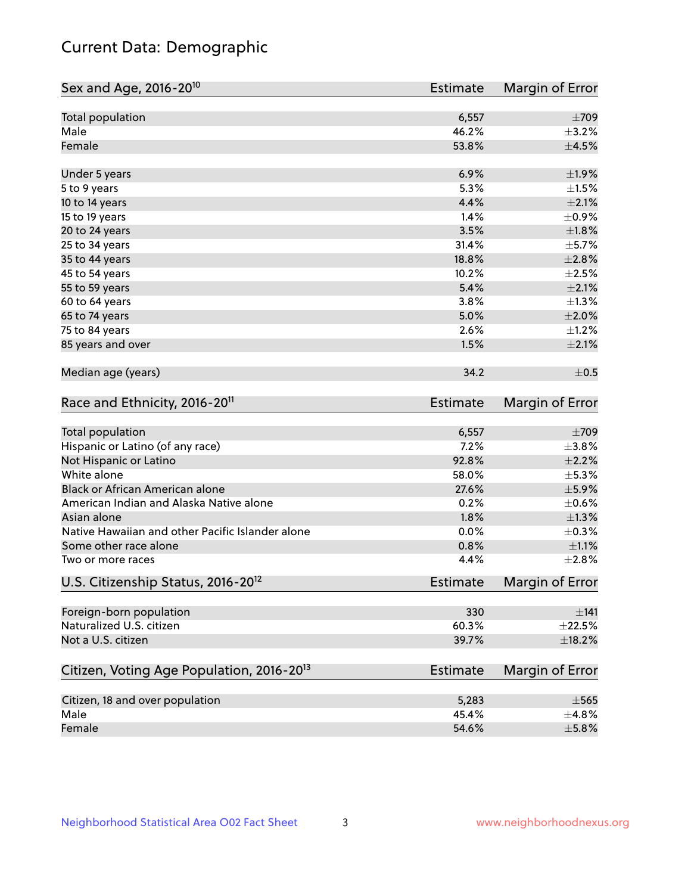# Current Data: Demographic

| Sex and Age, 2016-20 <sup>10</sup>                    | <b>Estimate</b> | Margin of Error |
|-------------------------------------------------------|-----------------|-----------------|
| Total population                                      | 6,557           | $\pm 709$       |
| Male                                                  | 46.2%           | $\pm$ 3.2%      |
| Female                                                | 53.8%           | $\pm 4.5\%$     |
| Under 5 years                                         | 6.9%            | ±1.9%           |
| 5 to 9 years                                          | 5.3%            | $\pm1.5\%$      |
| 10 to 14 years                                        | 4.4%            | $\pm 2.1\%$     |
| 15 to 19 years                                        | 1.4%            | $\pm$ 0.9%      |
| 20 to 24 years                                        | 3.5%            | $\pm 1.8\%$     |
| 25 to 34 years                                        | 31.4%           | $\pm$ 5.7%      |
| 35 to 44 years                                        | 18.8%           | $\pm 2.8\%$     |
| 45 to 54 years                                        | 10.2%           | $\pm 2.5\%$     |
| 55 to 59 years                                        | 5.4%            | $\pm 2.1\%$     |
| 60 to 64 years                                        | 3.8%            | $\pm 1.3\%$     |
| 65 to 74 years                                        | 5.0%            | $\pm 2.0\%$     |
| 75 to 84 years                                        | 2.6%            | $\pm$ 1.2%      |
| 85 years and over                                     | 1.5%            | $\pm 2.1\%$     |
| Median age (years)                                    | 34.2            | $\pm$ 0.5       |
| Race and Ethnicity, 2016-20 <sup>11</sup>             | <b>Estimate</b> | Margin of Error |
| Total population                                      | 6,557           | $\pm 709$       |
| Hispanic or Latino (of any race)                      | 7.2%            | ±3.8%           |
| Not Hispanic or Latino                                | 92.8%           | $\pm 2.2\%$     |
| White alone                                           | 58.0%           | $\pm$ 5.3%      |
| Black or African American alone                       | 27.6%           | $\pm$ 5.9%      |
| American Indian and Alaska Native alone               | 0.2%            | $\pm$ 0.6%      |
| Asian alone                                           | 1.8%            | $\pm 1.3\%$     |
| Native Hawaiian and other Pacific Islander alone      | 0.0%            | $\pm$ 0.3%      |
| Some other race alone                                 | 0.8%            | $\pm 1.1\%$     |
| Two or more races                                     | 4.4%            | $\pm 2.8\%$     |
| U.S. Citizenship Status, 2016-20 <sup>12</sup>        | <b>Estimate</b> | Margin of Error |
| Foreign-born population                               | 330             | $\pm$ 141       |
| Naturalized U.S. citizen                              | 60.3%           | $\pm 22.5\%$    |
| Not a U.S. citizen                                    | 39.7%           | $\pm$ 18.2%     |
| Citizen, Voting Age Population, 2016-20 <sup>13</sup> | <b>Estimate</b> | Margin of Error |
| Citizen, 18 and over population                       | 5,283           | $\pm$ 565       |
| Male                                                  | 45.4%           | ±4.8%           |
| Female                                                | 54.6%           | $\pm$ 5.8%      |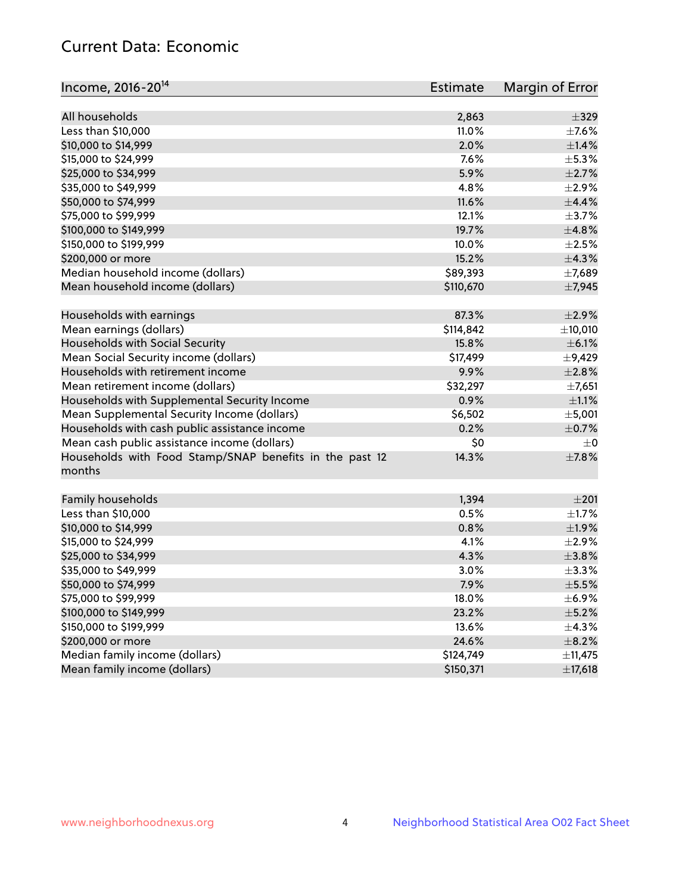# Current Data: Economic

| Income, 2016-20 <sup>14</sup>                           | Estimate  | Margin of Error |
|---------------------------------------------------------|-----------|-----------------|
|                                                         |           |                 |
| All households                                          | 2,863     | $\pm$ 329       |
| Less than \$10,000                                      | 11.0%     | $\pm$ 7.6%      |
| \$10,000 to \$14,999                                    | 2.0%      | $\pm$ 1.4%      |
| \$15,000 to \$24,999                                    | 7.6%      | $\pm$ 5.3%      |
| \$25,000 to \$34,999                                    | 5.9%      | $\pm 2.7\%$     |
| \$35,000 to \$49,999                                    | 4.8%      | $\pm 2.9\%$     |
| \$50,000 to \$74,999                                    | 11.6%     | $\pm$ 4.4%      |
| \$75,000 to \$99,999                                    | 12.1%     | $\pm$ 3.7%      |
| \$100,000 to \$149,999                                  | 19.7%     | ±4.8%           |
| \$150,000 to \$199,999                                  | 10.0%     | $\pm 2.5\%$     |
| \$200,000 or more                                       | 15.2%     | ±4.3%           |
| Median household income (dollars)                       | \$89,393  | ±7,689          |
| Mean household income (dollars)                         | \$110,670 | ±7,945          |
| Households with earnings                                | 87.3%     | $\pm 2.9\%$     |
| Mean earnings (dollars)                                 | \$114,842 | ±10,010         |
| Households with Social Security                         | 15.8%     | $\pm$ 6.1%      |
| Mean Social Security income (dollars)                   | \$17,499  | $\pm$ 9,429     |
| Households with retirement income                       | 9.9%      | ±2.8%           |
| Mean retirement income (dollars)                        | \$32,297  | $\pm$ 7,651     |
| Households with Supplemental Security Income            | 0.9%      | $\pm 1.1\%$     |
| Mean Supplemental Security Income (dollars)             | \$6,502   | ±5,001          |
| Households with cash public assistance income           | 0.2%      | $\pm$ 0.7%      |
| Mean cash public assistance income (dollars)            | \$0       | $\pm 0$         |
| Households with Food Stamp/SNAP benefits in the past 12 | 14.3%     | $\pm$ 7.8%      |
| months                                                  |           |                 |
|                                                         |           |                 |
| Family households                                       | 1,394     | $\pm 201$       |
| Less than \$10,000                                      | 0.5%      | $\pm1.7\%$      |
| \$10,000 to \$14,999                                    | 0.8%      | ±1.9%           |
| \$15,000 to \$24,999                                    | 4.1%      | ±2.9%           |
| \$25,000 to \$34,999                                    | 4.3%      | ±3.8%           |
| \$35,000 to \$49,999                                    | 3.0%      | ±3.3%           |
| \$50,000 to \$74,999                                    | 7.9%      | $\pm$ 5.5%      |
| \$75,000 to \$99,999                                    | 18.0%     | $\pm$ 6.9%      |
| \$100,000 to \$149,999                                  | 23.2%     | $\pm$ 5.2%      |
| \$150,000 to \$199,999                                  | 13.6%     | $\pm$ 4.3%      |
| \$200,000 or more                                       | 24.6%     | $\pm$ 8.2%      |
| Median family income (dollars)                          | \$124,749 | ±11,475         |
| Mean family income (dollars)                            | \$150,371 | ±17,618         |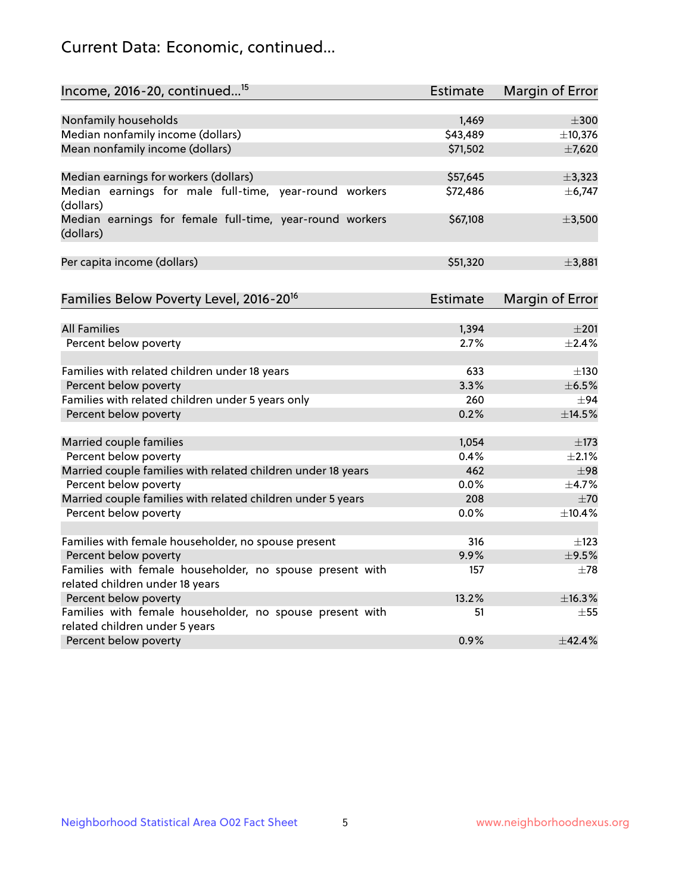# Current Data: Economic, continued...

| Income, 2016-20, continued <sup>15</sup>                              | <b>Estimate</b> | <b>Margin of Error</b> |
|-----------------------------------------------------------------------|-----------------|------------------------|
|                                                                       |                 |                        |
| Nonfamily households                                                  | 1,469           | $\pm 300$              |
| Median nonfamily income (dollars)                                     | \$43,489        | ±10,376                |
| Mean nonfamily income (dollars)                                       | \$71,502        | ±7,620                 |
| Median earnings for workers (dollars)                                 | \$57,645        | ±3,323                 |
| Median earnings for male full-time, year-round workers<br>(dollars)   | \$72,486        | ± 6,747                |
| Median earnings for female full-time, year-round workers<br>(dollars) | \$67,108        | ±3,500                 |
| Per capita income (dollars)                                           | \$51,320        | ±3,881                 |
| Families Below Poverty Level, 2016-20 <sup>16</sup>                   | Estimate        | <b>Margin of Error</b> |
|                                                                       |                 |                        |
| <b>All Families</b>                                                   | 1,394           | $\pm 201$              |
| Percent below poverty                                                 | 2.7%            | $\pm$ 2.4%             |
| Families with related children under 18 years                         | 633             | $\pm$ 130              |
| Percent below poverty                                                 | 3.3%            | $\pm$ 6.5%             |
| Families with related children under 5 years only                     | 260             | $\pm$ 94               |
| Percent below poverty                                                 | 0.2%            | $\pm$ 14.5%            |
| Married couple families                                               | 1,054           | ±173                   |
| Percent below poverty                                                 | 0.4%            | ±2.1%                  |
| Married couple families with related children under 18 years          | 462             | $\pm$ 98               |
| Percent below poverty                                                 | $0.0\%$         | ±4.7%                  |
| Married couple families with related children under 5 years           | 208             | ±70                    |
| Percent below poverty                                                 | $0.0\%$         | ±10.4%                 |
| Families with female householder, no spouse present                   | 316             | $\pm$ 123              |
| Percent below poverty                                                 | 9.9%            | $\pm$ 9.5%             |
| Families with female householder, no spouse present with              | 157             | $\pm 78$               |
| related children under 18 years                                       |                 |                        |
| Percent below poverty                                                 | 13.2%           | ±16.3%                 |
| Families with female householder, no spouse present with              | 51              | $\pm 55$               |
| related children under 5 years                                        |                 |                        |
| Percent below poverty                                                 | 0.9%            | ±42.4%                 |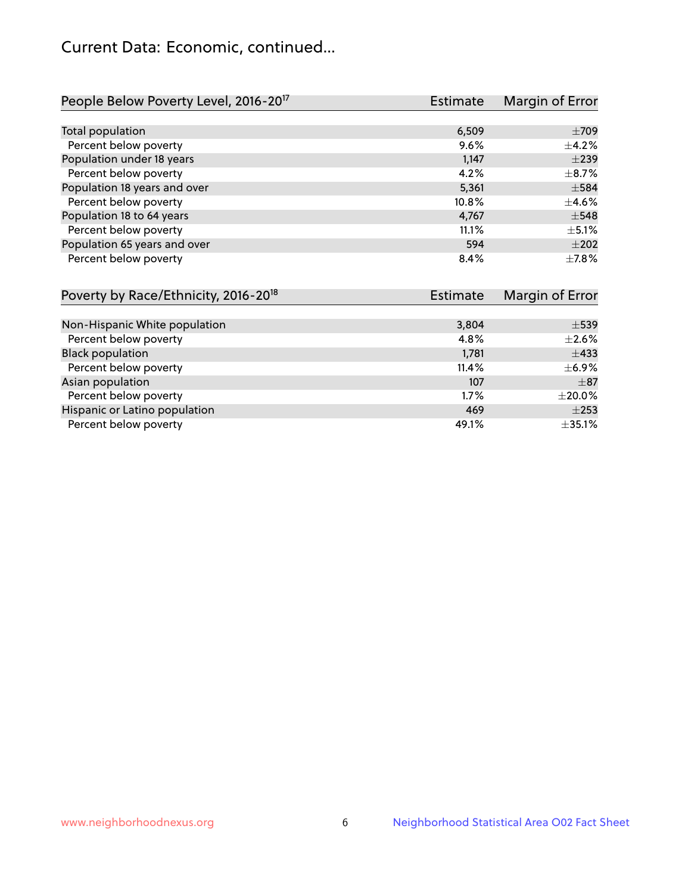# Current Data: Economic, continued...

| People Below Poverty Level, 2016-20 <sup>17</sup> | <b>Estimate</b> | Margin of Error |
|---------------------------------------------------|-----------------|-----------------|
|                                                   |                 |                 |
| Total population                                  | 6,509           | $\pm$ 709       |
| Percent below poverty                             | 9.6%            | $\pm$ 4.2%      |
| Population under 18 years                         | 1,147           | $\pm$ 239       |
| Percent below poverty                             | 4.2%            | $\pm$ 8.7%      |
| Population 18 years and over                      | 5,361           | $\pm$ 584       |
| Percent below poverty                             | 10.8%           | $\pm$ 4.6%      |
| Population 18 to 64 years                         | 4,767           | $\pm$ 548       |
| Percent below poverty                             | 11.1%           | $\pm$ 5.1%      |
| Population 65 years and over                      | 594             | $+202$          |
| Percent below poverty                             | 8.4%            | $+7.8%$         |

| Poverty by Race/Ethnicity, 2016-20 <sup>18</sup> | <b>Estimate</b> |              |
|--------------------------------------------------|-----------------|--------------|
|                                                  |                 |              |
| Non-Hispanic White population                    | 3,804           | $\pm$ 539    |
| Percent below poverty                            | 4.8%            | $\pm 2.6\%$  |
| <b>Black population</b>                          | 1,781           | $\pm$ 433    |
| Percent below poverty                            | 11.4%           | $\pm$ 6.9%   |
| Asian population                                 | 107             | $\pm$ 87     |
| Percent below poverty                            | 1.7%            | $\pm 20.0\%$ |
| Hispanic or Latino population                    | 469             | $\pm 253$    |
| Percent below poverty                            | 49.1%           | ±35.1%       |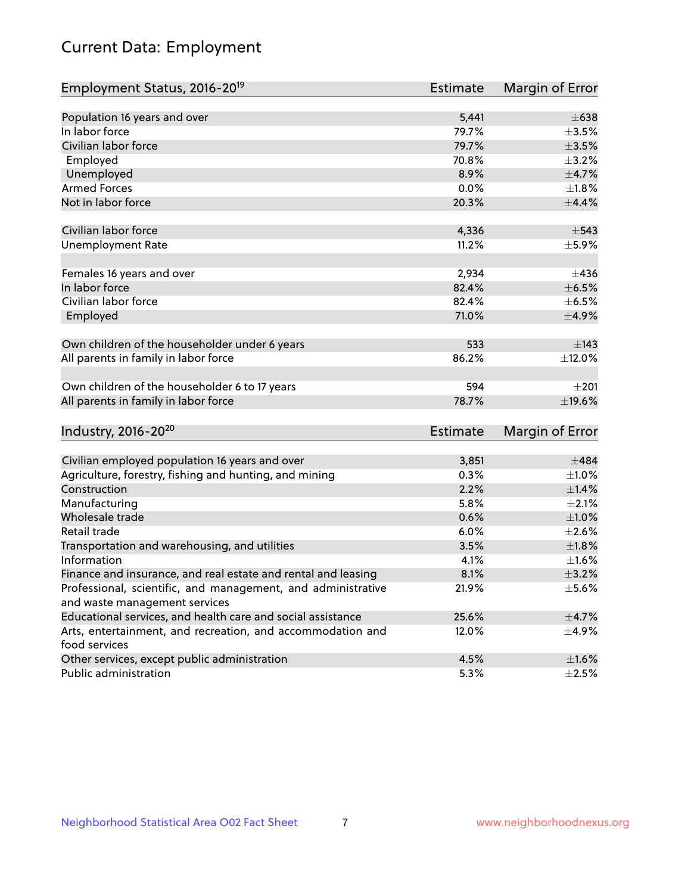# Current Data: Employment

| Employment Status, 2016-20 <sup>19</sup>                                    | Estimate        | Margin of Error |
|-----------------------------------------------------------------------------|-----------------|-----------------|
|                                                                             |                 |                 |
| Population 16 years and over                                                | 5,441           | $\pm 638$       |
| In labor force                                                              | 79.7%           | $\pm 3.5\%$     |
| Civilian labor force                                                        | 79.7%           | $\pm$ 3.5%      |
| Employed                                                                    | 70.8%           | $\pm$ 3.2%      |
| Unemployed                                                                  | 8.9%            | $\pm$ 4.7%      |
| <b>Armed Forces</b>                                                         | 0.0%            | $\pm1.8\%$      |
| Not in labor force                                                          | 20.3%           | $\pm$ 4.4%      |
| Civilian labor force                                                        | 4,336           | $\pm$ 543       |
| <b>Unemployment Rate</b>                                                    | 11.2%           | $\pm$ 5.9%      |
| Females 16 years and over                                                   | 2,934           | ±436            |
| In labor force                                                              | 82.4%           | $\pm$ 6.5%      |
| Civilian labor force                                                        | 82.4%           | $\pm$ 6.5%      |
| Employed                                                                    | 71.0%           | $\pm$ 4.9%      |
|                                                                             |                 |                 |
| Own children of the householder under 6 years                               | 533             | $\pm$ 143       |
| All parents in family in labor force                                        | 86.2%           | ±12.0%          |
|                                                                             |                 |                 |
| Own children of the householder 6 to 17 years                               | 594             | $\pm 201$       |
| All parents in family in labor force                                        | 78.7%           | ±19.6%          |
|                                                                             |                 |                 |
| Industry, 2016-20 <sup>20</sup>                                             | <b>Estimate</b> | Margin of Error |
|                                                                             |                 |                 |
| Civilian employed population 16 years and over                              | 3,851           | $\pm 484$       |
| Agriculture, forestry, fishing and hunting, and mining                      | 0.3%            | $\pm 1.0\%$     |
| Construction                                                                | 2.2%            | ±1.4%           |
| Manufacturing                                                               | 5.8%            | $\pm 2.1\%$     |
| Wholesale trade                                                             | 0.6%            | $\pm 1.0\%$     |
| Retail trade                                                                | 6.0%            | $\pm 2.6\%$     |
| Transportation and warehousing, and utilities                               | 3.5%            | ±1.8%           |
| Information                                                                 | 4.1%            | $\pm 1.6\%$     |
| Finance and insurance, and real estate and rental and leasing               | 8.1%            | $\pm$ 3.2%      |
| Professional, scientific, and management, and administrative                | 21.9%           | $\pm$ 5.6%      |
| and waste management services                                               |                 |                 |
| Educational services, and health care and social assistance                 | 25.6%           | $\pm$ 4.7%      |
| Arts, entertainment, and recreation, and accommodation and<br>food services | 12.0%           | $\pm$ 4.9%      |
| Other services, except public administration                                | 4.5%            | $\pm 1.6\%$     |
| Public administration                                                       | 5.3%            | $\pm 2.5\%$     |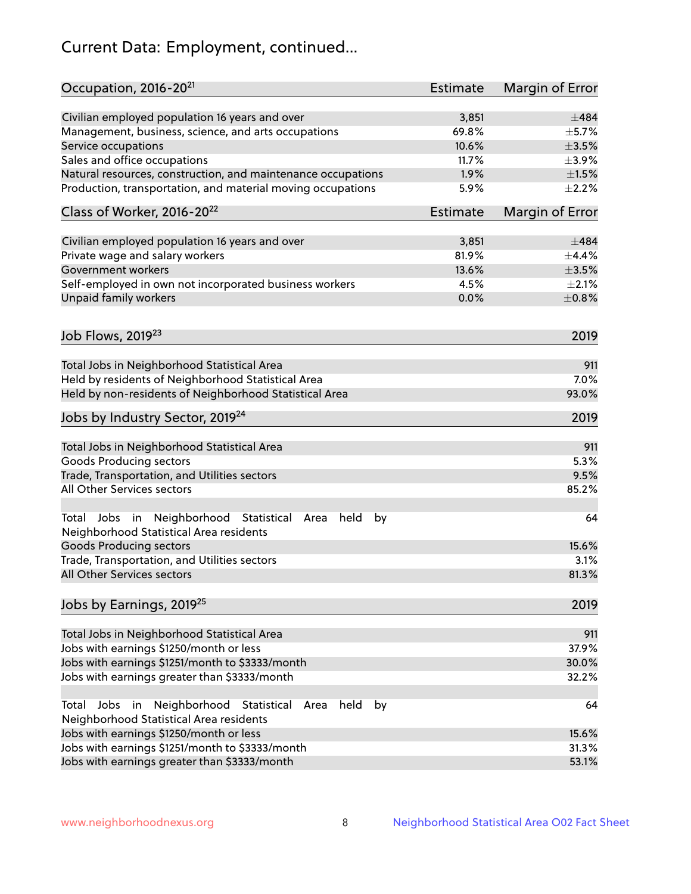# Current Data: Employment, continued...

| Occupation, 2016-20 <sup>21</sup>                                                                                | <b>Estimate</b> | Margin of Error |
|------------------------------------------------------------------------------------------------------------------|-----------------|-----------------|
| Civilian employed population 16 years and over                                                                   | 3,851           | $\pm 484$       |
| Management, business, science, and arts occupations                                                              | 69.8%           | $\pm$ 5.7%      |
| Service occupations                                                                                              | 10.6%           | $\pm 3.5\%$     |
| Sales and office occupations                                                                                     | 11.7%           | $\pm$ 3.9%      |
| Natural resources, construction, and maintenance occupations                                                     | 1.9%            | $\pm 1.5\%$     |
| Production, transportation, and material moving occupations                                                      | 5.9%            | $\pm 2.2\%$     |
| Class of Worker, 2016-20 <sup>22</sup>                                                                           | <b>Estimate</b> | Margin of Error |
| Civilian employed population 16 years and over                                                                   | 3,851           | ±484            |
| Private wage and salary workers                                                                                  | 81.9%           | ±4.4%           |
| Government workers                                                                                               | 13.6%           | $\pm 3.5\%$     |
| Self-employed in own not incorporated business workers                                                           | 4.5%            | $\pm 2.1\%$     |
| Unpaid family workers                                                                                            | 0.0%            | $\pm$ 0.8%      |
|                                                                                                                  |                 |                 |
| Job Flows, 2019 <sup>23</sup>                                                                                    |                 | 2019            |
| Total Jobs in Neighborhood Statistical Area                                                                      |                 | 911             |
| Held by residents of Neighborhood Statistical Area                                                               |                 | 7.0%            |
| Held by non-residents of Neighborhood Statistical Area                                                           |                 | 93.0%           |
| Jobs by Industry Sector, 2019 <sup>24</sup>                                                                      |                 | 2019            |
| Total Jobs in Neighborhood Statistical Area                                                                      |                 | 911             |
| <b>Goods Producing sectors</b>                                                                                   |                 | 5.3%            |
| Trade, Transportation, and Utilities sectors                                                                     |                 | 9.5%            |
| All Other Services sectors                                                                                       |                 | 85.2%           |
| Total Jobs in Neighborhood Statistical<br>held<br>by<br>Area<br>Neighborhood Statistical Area residents          |                 | 64              |
| <b>Goods Producing sectors</b>                                                                                   |                 | 15.6%           |
| Trade, Transportation, and Utilities sectors                                                                     |                 | 3.1%            |
| All Other Services sectors                                                                                       |                 | 81.3%           |
| Jobs by Earnings, 2019 <sup>25</sup>                                                                             |                 | 2019            |
| Total Jobs in Neighborhood Statistical Area                                                                      |                 | 911             |
| Jobs with earnings \$1250/month or less                                                                          |                 | 37.9%           |
| Jobs with earnings \$1251/month to \$3333/month                                                                  |                 | 30.0%           |
| Jobs with earnings greater than \$3333/month                                                                     |                 | 32.2%           |
| Neighborhood Statistical<br>Jobs<br>in<br>held<br>by<br>Total<br>Area<br>Neighborhood Statistical Area residents |                 | 64              |
| Jobs with earnings \$1250/month or less                                                                          |                 | 15.6%           |
| Jobs with earnings \$1251/month to \$3333/month                                                                  |                 | 31.3%           |
| Jobs with earnings greater than \$3333/month                                                                     |                 | 53.1%           |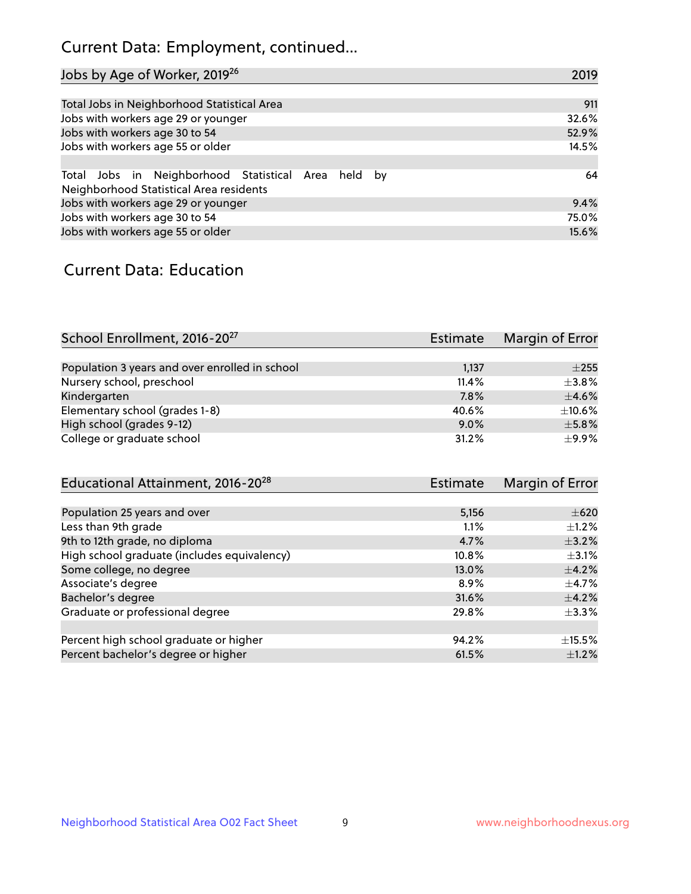# Current Data: Employment, continued...

| Jobs by Age of Worker, 2019 <sup>26</sup>                                                      | 2019  |
|------------------------------------------------------------------------------------------------|-------|
|                                                                                                |       |
| Total Jobs in Neighborhood Statistical Area                                                    | 911   |
| Jobs with workers age 29 or younger                                                            | 32.6% |
| Jobs with workers age 30 to 54                                                                 | 52.9% |
| Jobs with workers age 55 or older                                                              | 14.5% |
|                                                                                                |       |
| Total Jobs in Neighborhood Statistical Area held by<br>Neighborhood Statistical Area residents | 64    |
| Jobs with workers age 29 or younger                                                            | 9.4%  |
| Jobs with workers age 30 to 54                                                                 | 75.0% |
| Jobs with workers age 55 or older                                                              | 15.6% |

### Current Data: Education

| School Enrollment, 2016-20 <sup>27</sup>       | <b>Estimate</b> | Margin of Error |
|------------------------------------------------|-----------------|-----------------|
|                                                |                 |                 |
| Population 3 years and over enrolled in school | 1,137           | $\pm 255$       |
| Nursery school, preschool                      | 11.4%           | $\pm$ 3.8%      |
| Kindergarten                                   | 7.8%            | $\pm$ 4.6%      |
| Elementary school (grades 1-8)                 | 40.6%           | $\pm$ 10.6%     |
| High school (grades 9-12)                      | $9.0\%$         | $\pm$ 5.8%      |
| College or graduate school                     | 31.2%           | $\pm$ 9.9%      |

| Educational Attainment, 2016-20 <sup>28</sup> | Estimate | Margin of Error |
|-----------------------------------------------|----------|-----------------|
|                                               |          |                 |
| Population 25 years and over                  | 5,156    | $\pm 620$       |
| Less than 9th grade                           | 1.1%     | $\pm 1.2\%$     |
| 9th to 12th grade, no diploma                 | 4.7%     | $\pm$ 3.2%      |
| High school graduate (includes equivalency)   | 10.8%    | $\pm$ 3.1%      |
| Some college, no degree                       | 13.0%    | $\pm$ 4.2%      |
| Associate's degree                            | 8.9%     | $\pm$ 4.7%      |
| Bachelor's degree                             | 31.6%    | $\pm$ 4.2%      |
| Graduate or professional degree               | 29.8%    | $\pm$ 3.3%      |
|                                               |          |                 |
| Percent high school graduate or higher        | 94.2%    | $\pm$ 15.5%     |
| Percent bachelor's degree or higher           | 61.5%    | $\pm$ 1.2%      |
|                                               |          |                 |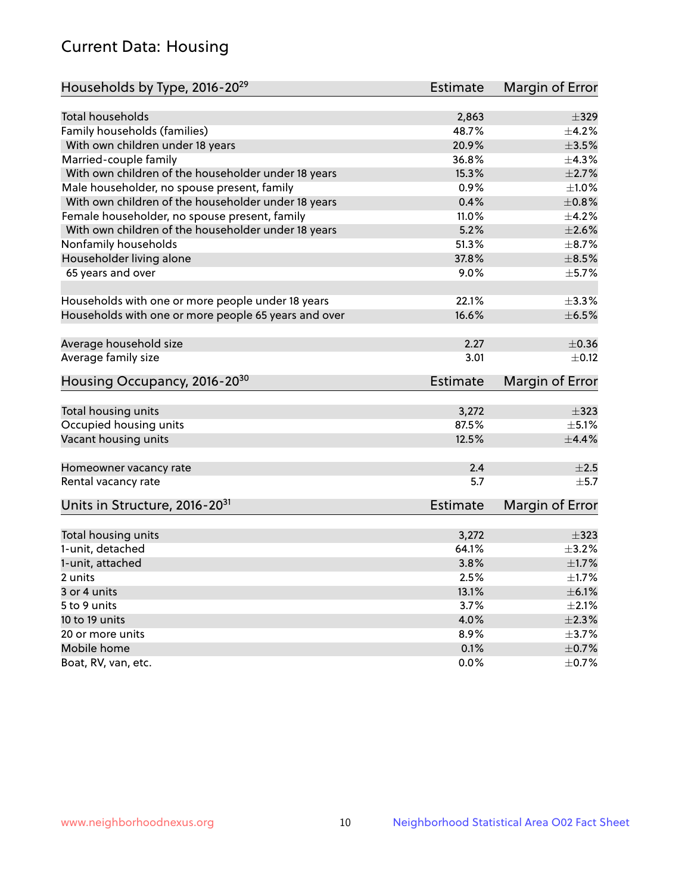# Current Data: Housing

| Households by Type, 2016-20 <sup>29</sup>            | <b>Estimate</b> | Margin of Error |
|------------------------------------------------------|-----------------|-----------------|
|                                                      |                 |                 |
| <b>Total households</b>                              | 2,863           | $\pm$ 329       |
| Family households (families)                         | 48.7%           | $\pm$ 4.2%      |
| With own children under 18 years                     | 20.9%           | $\pm$ 3.5%      |
| Married-couple family                                | 36.8%           | ±4.3%           |
| With own children of the householder under 18 years  | 15.3%           | $\pm 2.7\%$     |
| Male householder, no spouse present, family          | 0.9%            | $\pm 1.0\%$     |
| With own children of the householder under 18 years  | 0.4%            | $\pm 0.8\%$     |
| Female householder, no spouse present, family        | 11.0%           | $\pm$ 4.2%      |
| With own children of the householder under 18 years  | 5.2%            | $\pm 2.6\%$     |
| Nonfamily households                                 | 51.3%           | $\pm$ 8.7%      |
| Householder living alone                             | 37.8%           | $\pm$ 8.5%      |
| 65 years and over                                    | $9.0\%$         | $\pm$ 5.7%      |
|                                                      |                 |                 |
| Households with one or more people under 18 years    | 22.1%           | ±3.3%           |
| Households with one or more people 65 years and over | 16.6%           | $\pm$ 6.5%      |
|                                                      |                 |                 |
| Average household size                               | 2.27            | $\pm$ 0.36      |
| Average family size                                  | 3.01            | $\pm$ 0.12      |
| Housing Occupancy, 2016-20 <sup>30</sup>             | <b>Estimate</b> | Margin of Error |
|                                                      |                 |                 |
| Total housing units                                  | 3,272           | $\pm$ 323       |
| Occupied housing units                               | 87.5%           | $\pm$ 5.1%      |
| Vacant housing units                                 | 12.5%           | $\pm$ 4.4%      |
| Homeowner vacancy rate                               | 2.4             | $\pm 2.5$       |
| Rental vacancy rate                                  | 5.7             | $\pm$ 5.7       |
| Units in Structure, 2016-20 <sup>31</sup>            | <b>Estimate</b> | Margin of Error |
|                                                      |                 |                 |
| Total housing units                                  | 3,272           | $\pm$ 323       |
| 1-unit, detached                                     | 64.1%           | $\pm$ 3.2%      |
| 1-unit, attached                                     | 3.8%            | $\pm 1.7\%$     |
| 2 units                                              | 2.5%            | $\pm1.7\%$      |
| 3 or 4 units                                         | 13.1%           | $\pm$ 6.1%      |
| 5 to 9 units                                         | 3.7%            | $\pm 2.1\%$     |
| 10 to 19 units                                       | 4.0%            | $\pm 2.3\%$     |
| 20 or more units                                     | 8.9%            | $\pm$ 3.7%      |
| Mobile home                                          | 0.1%            | $\pm$ 0.7%      |
| Boat, RV, van, etc.                                  | 0.0%            | $\pm$ 0.7%      |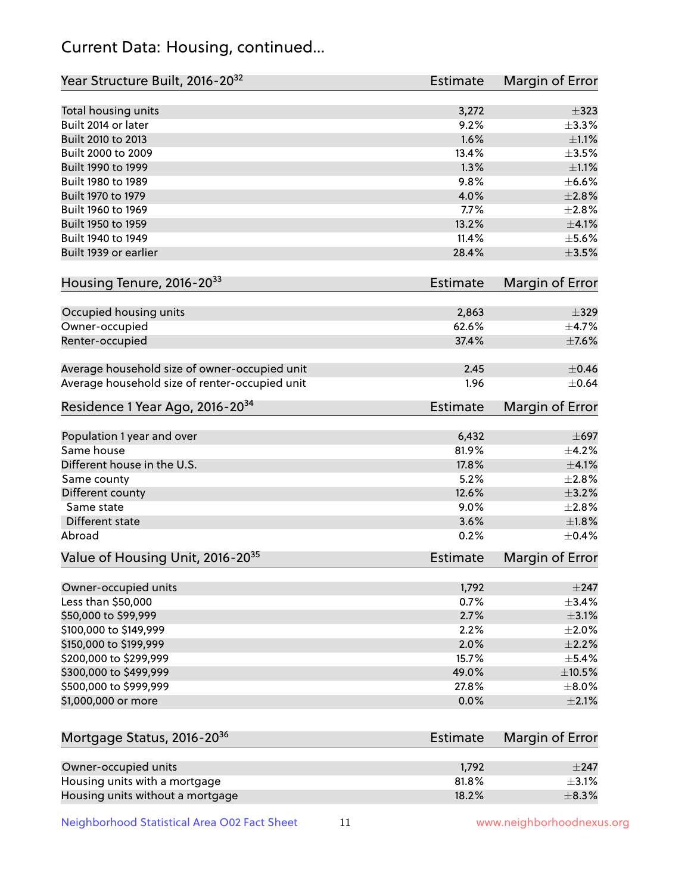# Current Data: Housing, continued...

| Year Structure Built, 2016-20 <sup>32</sup>    | <b>Estimate</b> | Margin of Error |
|------------------------------------------------|-----------------|-----------------|
| Total housing units                            | 3,272           | $\pm$ 323       |
| Built 2014 or later                            | 9.2%            | ±3.3%           |
| Built 2010 to 2013                             | 1.6%            | $\pm 1.1\%$     |
| Built 2000 to 2009                             | 13.4%           | $\pm 3.5\%$     |
| Built 1990 to 1999                             | 1.3%            | $\pm 1.1\%$     |
| Built 1980 to 1989                             | 9.8%            | $\pm$ 6.6%      |
| Built 1970 to 1979                             | 4.0%            | $\pm 2.8\%$     |
| Built 1960 to 1969                             | 7.7%            | ±2.8%           |
| Built 1950 to 1959                             | 13.2%           | $\pm 4.1\%$     |
| Built 1940 to 1949                             | 11.4%           | $\pm$ 5.6%      |
| Built 1939 or earlier                          | 28.4%           | $\pm 3.5\%$     |
| Housing Tenure, 2016-2033                      | <b>Estimate</b> | Margin of Error |
|                                                |                 |                 |
| Occupied housing units                         | 2,863           | $\pm$ 329       |
| Owner-occupied                                 | 62.6%           | $\pm$ 4.7%      |
| Renter-occupied                                | 37.4%           | $\pm$ 7.6%      |
| Average household size of owner-occupied unit  | 2.45            | $\pm$ 0.46      |
| Average household size of renter-occupied unit | 1.96            | $\pm$ 0.64      |
| Residence 1 Year Ago, 2016-20 <sup>34</sup>    | <b>Estimate</b> | Margin of Error |
| Population 1 year and over                     | 6,432           | $\pm 697$       |
| Same house                                     | 81.9%           | $\pm$ 4.2%      |
| Different house in the U.S.                    | 17.8%           | $\pm 4.1\%$     |
| Same county                                    | 5.2%            | $\pm 2.8\%$     |
| Different county                               | 12.6%           | $\pm$ 3.2%      |
| Same state                                     | 9.0%            | $\pm 2.8\%$     |
| Different state                                | 3.6%            | $\pm1.8\%$      |
| Abroad                                         | 0.2%            | $\pm$ 0.4%      |
| Value of Housing Unit, 2016-20 <sup>35</sup>   | <b>Estimate</b> | Margin of Error |
|                                                |                 |                 |
| Owner-occupied units                           | 1,792           | $\pm 247$       |
| Less than \$50,000                             | 0.7%            | $\pm$ 3.4%      |
| \$50,000 to \$99,999                           | 2.7%            | $\pm$ 3.1%      |
| \$100,000 to \$149,999                         | 2.2%            | $\pm 2.0\%$     |
| \$150,000 to \$199,999                         | 2.0%            | $\pm 2.2\%$     |
| \$200,000 to \$299,999                         | 15.7%           | $\pm$ 5.4%      |
| \$300,000 to \$499,999                         | 49.0%           | $\pm$ 10.5%     |
| \$500,000 to \$999,999                         | 27.8%           | $\pm$ 8.0%      |
| \$1,000,000 or more                            | 0.0%            | $\pm 2.1\%$     |
| Mortgage Status, 2016-20 <sup>36</sup>         | <b>Estimate</b> | Margin of Error |
| Owner-occupied units                           | 1,792           | $\pm 247$       |
| Housing units with a mortgage                  | 81.8%           | $\pm$ 3.1%      |
| Housing units without a mortgage               | 18.2%           | $\pm$ 8.3%      |

Neighborhood Statistical Area O02 Fact Sheet 11 11 www.neighborhoodnexus.org

Housing units without a mortgage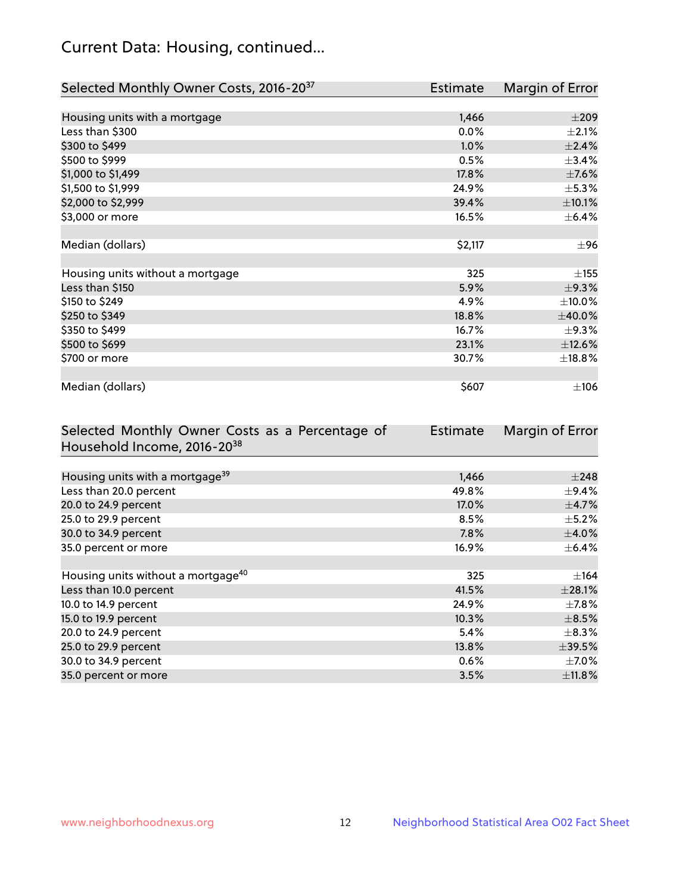# Current Data: Housing, continued...

| Selected Monthly Owner Costs, 2016-20 <sup>37</sup> | <b>Estimate</b> | Margin of Error |
|-----------------------------------------------------|-----------------|-----------------|
|                                                     |                 |                 |
| Housing units with a mortgage                       | 1,466           | $\pm 209$       |
| Less than \$300                                     | 0.0%            | $\pm 2.1\%$     |
| \$300 to \$499                                      | 1.0%            | ±2.4%           |
| \$500 to \$999                                      | 0.5%            | $\pm$ 3.4%      |
| \$1,000 to \$1,499                                  | 17.8%           | $\pm$ 7.6%      |
| \$1,500 to \$1,999                                  | 24.9%           | $\pm$ 5.3%      |
| \$2,000 to \$2,999                                  | 39.4%           | $\pm 10.1\%$    |
| \$3,000 or more                                     | 16.5%           | $\pm$ 6.4%      |
|                                                     |                 |                 |
| Median (dollars)                                    | \$2,117         | ±96             |
|                                                     |                 |                 |
| Housing units without a mortgage                    | 325             | $\pm$ 155       |
| Less than \$150                                     | 5.9%            | ±9.3%           |
| \$150 to \$249                                      | 4.9%            | $\pm$ 10.0%     |
| \$250 to \$349                                      | 18.8%           | $\pm 40.0\%$    |
| \$350 to \$499                                      | 16.7%           | $\pm$ 9.3%      |
| \$500 to \$699                                      | 23.1%           | $\pm$ 12.6%     |
| \$700 or more                                       | 30.7%           | ±18.8%          |
|                                                     |                 |                 |
| Median (dollars)                                    | \$607           | ±106            |

| Selected Monthly Owner Costs as a Percentage of | <b>Estimate</b> | Margin of Error |
|-------------------------------------------------|-----------------|-----------------|
| Household Income, 2016-20 <sup>38</sup>         |                 |                 |
|                                                 |                 |                 |
| Housing units with a mortgage <sup>39</sup>     | 1,466           | $\pm 248$       |
| Less than 20.0 percent                          | 49.8%           | $\pm$ 9.4%      |
| 20.0 to 24.9 percent                            | 17.0%           | $\pm$ 4.7%      |
| 25.0 to 29.9 percent                            | 8.5%            | $\pm$ 5.2%      |
| 30.0 to 34.9 percent                            | 7.8%            | $\pm$ 4.0%      |
| 35.0 percent or more                            | 16.9%           | $\pm$ 6.4%      |
|                                                 |                 |                 |
| Housing units without a mortgage <sup>40</sup>  | 325             | $\pm$ 164       |
| Less than 10.0 percent                          | 41.5%           | $\pm 28.1\%$    |
| 10.0 to 14.9 percent                            | 24.9%           | $\pm$ 7.8%      |
| 15.0 to 19.9 percent                            | 10.3%           | $\pm$ 8.5%      |
| 20.0 to 24.9 percent                            | 5.4%            | $\pm$ 8.3%      |
| 25.0 to 29.9 percent                            | 13.8%           | $\pm$ 39.5%     |
| 30.0 to 34.9 percent                            | $0.6\%$         | $\pm$ 7.0%      |
| 35.0 percent or more                            | 3.5%            | ±11.8%          |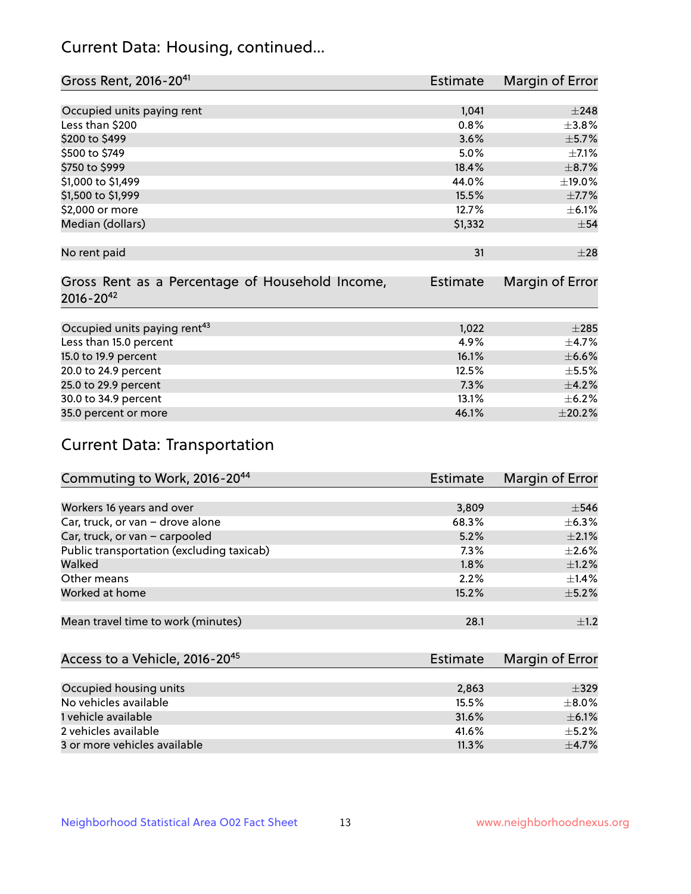# Current Data: Housing, continued...

| Gross Rent, 2016-20 <sup>41</sup>               | Estimate        | Margin of Error |
|-------------------------------------------------|-----------------|-----------------|
|                                                 |                 |                 |
| Occupied units paying rent                      | 1,041           | $\pm 248$       |
| Less than \$200                                 | 0.8%            | $\pm$ 3.8%      |
| \$200 to \$499                                  | 3.6%            | $\pm$ 5.7%      |
| \$500 to \$749                                  | 5.0%            | $\pm$ 7.1%      |
| \$750 to \$999                                  | 18.4%           | $\pm$ 8.7%      |
| \$1,000 to \$1,499                              | 44.0%           | $\pm$ 19.0%     |
| \$1,500 to \$1,999                              | 15.5%           | $\pm$ 7.7%      |
| \$2,000 or more                                 | 12.7%           | $\pm$ 6.1%      |
| Median (dollars)                                | \$1,332         | $\pm$ 54        |
|                                                 |                 |                 |
| No rent paid                                    | 31              | $\pm 28$        |
|                                                 |                 |                 |
| Gross Rent as a Percentage of Household Income, | <b>Estimate</b> | Margin of Error |
| $2016 - 20^{42}$                                |                 |                 |
|                                                 |                 |                 |
| Occupied units paying rent <sup>43</sup>        | 1,022           | $\pm 285$       |
| Less than 15.0 percent                          | 4.9%            | $\pm$ 4.7%      |
| 15.0 to 19.9 percent                            | 16.1%           | $\pm$ 6.6%      |
| 20.0 to 24.9 percent                            | 12.5%           | $\pm$ 5.5%      |
| 25.0 to 29.9 percent                            | 7.3%            | ±4.2%           |
| 30.0 to 34.9 percent                            | 13.1%           | $\pm$ 6.2%      |
| 35.0 percent or more                            | 46.1%           | ±20.2%          |

# Current Data: Transportation

| Commuting to Work, 2016-20 <sup>44</sup>  | <b>Estimate</b> | Margin of Error |
|-------------------------------------------|-----------------|-----------------|
|                                           |                 |                 |
| Workers 16 years and over                 | 3,809           | $\pm$ 546       |
| Car, truck, or van - drove alone          | 68.3%           | $\pm$ 6.3%      |
| Car, truck, or van - carpooled            | 5.2%            | $\pm 2.1\%$     |
| Public transportation (excluding taxicab) | $7.3\%$         | $\pm 2.6\%$     |
| Walked                                    | 1.8%            | $\pm 1.2\%$     |
| Other means                               | 2.2%            | $\pm$ 1.4%      |
| Worked at home                            | 15.2%           | $\pm$ 5.2%      |
|                                           |                 |                 |
| Mean travel time to work (minutes)        | 28.1            | $\pm 1.2$       |

| Access to a Vehicle, 2016-20 <sup>45</sup> | <b>Estimate</b> | Margin of Error |
|--------------------------------------------|-----------------|-----------------|
|                                            |                 |                 |
| Occupied housing units                     | 2,863           | $\pm$ 329       |
| No vehicles available                      | 15.5%           | $\pm$ 8.0%      |
| 1 vehicle available                        | 31.6%           | $\pm$ 6.1%      |
| 2 vehicles available                       | 41.6%           | $+5.2%$         |
| 3 or more vehicles available               | 11.3%           | $+4.7%$         |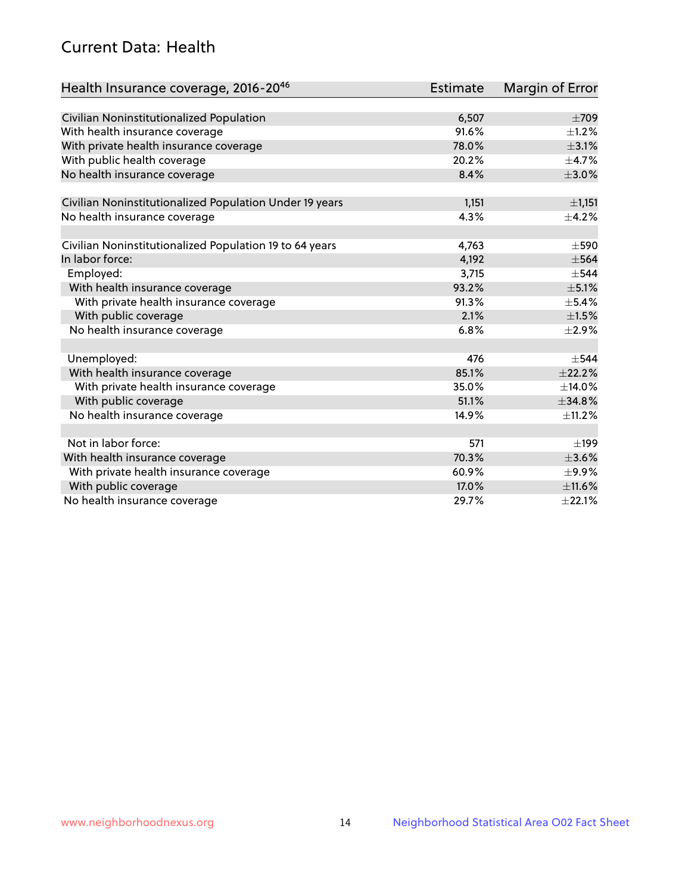# Current Data: Health

| Health Insurance coverage, 2016-2046                    | Estimate | Margin of Error |
|---------------------------------------------------------|----------|-----------------|
|                                                         |          |                 |
| Civilian Noninstitutionalized Population                | 6,507    | $\pm 709$       |
| With health insurance coverage                          | 91.6%    | $\pm 1.2\%$     |
| With private health insurance coverage                  | 78.0%    | $\pm$ 3.1%      |
| With public health coverage                             | 20.2%    | $\pm$ 4.7%      |
| No health insurance coverage                            | 8.4%     | $\pm 3.0\%$     |
| Civilian Noninstitutionalized Population Under 19 years | 1,151    | $\pm$ 1,151     |
| No health insurance coverage                            | 4.3%     | $\pm$ 4.2%      |
|                                                         |          |                 |
| Civilian Noninstitutionalized Population 19 to 64 years | 4,763    | $\pm$ 590       |
| In labor force:                                         | 4,192    | $\pm$ 564       |
| Employed:                                               | 3,715    | $\pm$ 544       |
| With health insurance coverage                          | 93.2%    | $\pm$ 5.1%      |
| With private health insurance coverage                  | 91.3%    | $\pm$ 5.4%      |
| With public coverage                                    | 2.1%     | $\pm 1.5\%$     |
| No health insurance coverage                            | 6.8%     | $\pm 2.9\%$     |
|                                                         |          |                 |
| Unemployed:                                             | 476      | $\pm$ 544       |
| With health insurance coverage                          | 85.1%    | $+22.2%$        |
| With private health insurance coverage                  | 35.0%    | ±14.0%          |
| With public coverage                                    | 51.1%    | $\pm$ 34.8%     |
| No health insurance coverage                            | 14.9%    | $\pm$ 11.2%     |
|                                                         |          |                 |
| Not in labor force:                                     | 571      | ±199            |
| With health insurance coverage                          | 70.3%    | $\pm 3.6\%$     |
| With private health insurance coverage                  | 60.9%    | $\pm$ 9.9%      |
| With public coverage                                    | 17.0%    | $\pm$ 11.6%     |
| No health insurance coverage                            | 29.7%    | ±22.1%          |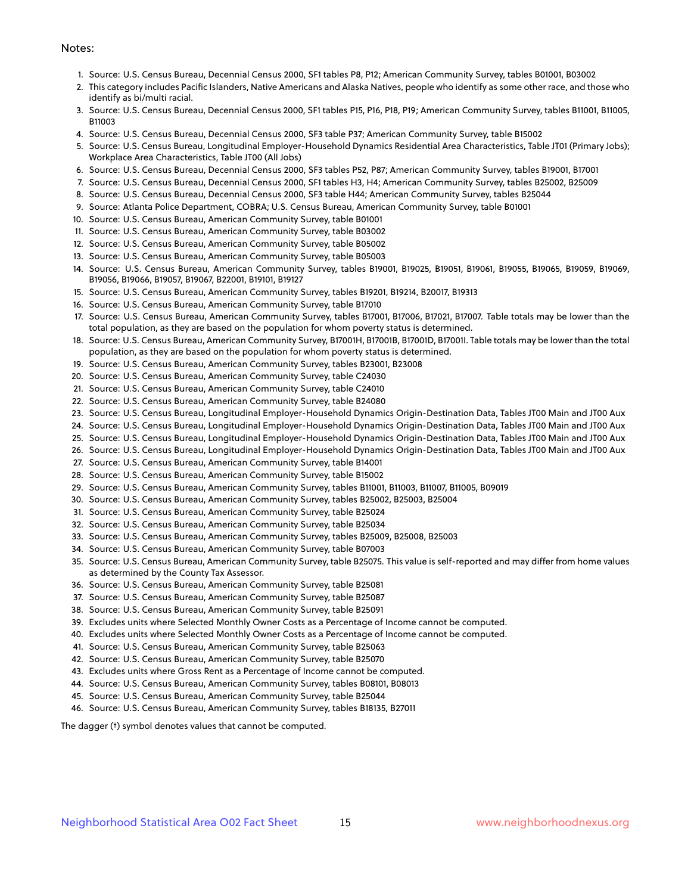#### Notes:

- 1. Source: U.S. Census Bureau, Decennial Census 2000, SF1 tables P8, P12; American Community Survey, tables B01001, B03002
- 2. This category includes Pacific Islanders, Native Americans and Alaska Natives, people who identify as some other race, and those who identify as bi/multi racial.
- 3. Source: U.S. Census Bureau, Decennial Census 2000, SF1 tables P15, P16, P18, P19; American Community Survey, tables B11001, B11005, B11003
- 4. Source: U.S. Census Bureau, Decennial Census 2000, SF3 table P37; American Community Survey, table B15002
- 5. Source: U.S. Census Bureau, Longitudinal Employer-Household Dynamics Residential Area Characteristics, Table JT01 (Primary Jobs); Workplace Area Characteristics, Table JT00 (All Jobs)
- 6. Source: U.S. Census Bureau, Decennial Census 2000, SF3 tables P52, P87; American Community Survey, tables B19001, B17001
- 7. Source: U.S. Census Bureau, Decennial Census 2000, SF1 tables H3, H4; American Community Survey, tables B25002, B25009
- 8. Source: U.S. Census Bureau, Decennial Census 2000, SF3 table H44; American Community Survey, tables B25044
- 9. Source: Atlanta Police Department, COBRA; U.S. Census Bureau, American Community Survey, table B01001
- 10. Source: U.S. Census Bureau, American Community Survey, table B01001
- 11. Source: U.S. Census Bureau, American Community Survey, table B03002
- 12. Source: U.S. Census Bureau, American Community Survey, table B05002
- 13. Source: U.S. Census Bureau, American Community Survey, table B05003
- 14. Source: U.S. Census Bureau, American Community Survey, tables B19001, B19025, B19051, B19061, B19055, B19065, B19059, B19069, B19056, B19066, B19057, B19067, B22001, B19101, B19127
- 15. Source: U.S. Census Bureau, American Community Survey, tables B19201, B19214, B20017, B19313
- 16. Source: U.S. Census Bureau, American Community Survey, table B17010
- 17. Source: U.S. Census Bureau, American Community Survey, tables B17001, B17006, B17021, B17007. Table totals may be lower than the total population, as they are based on the population for whom poverty status is determined.
- 18. Source: U.S. Census Bureau, American Community Survey, B17001H, B17001B, B17001D, B17001I. Table totals may be lower than the total population, as they are based on the population for whom poverty status is determined.
- 19. Source: U.S. Census Bureau, American Community Survey, tables B23001, B23008
- 20. Source: U.S. Census Bureau, American Community Survey, table C24030
- 21. Source: U.S. Census Bureau, American Community Survey, table C24010
- 22. Source: U.S. Census Bureau, American Community Survey, table B24080
- 23. Source: U.S. Census Bureau, Longitudinal Employer-Household Dynamics Origin-Destination Data, Tables JT00 Main and JT00 Aux
- 24. Source: U.S. Census Bureau, Longitudinal Employer-Household Dynamics Origin-Destination Data, Tables JT00 Main and JT00 Aux
- 25. Source: U.S. Census Bureau, Longitudinal Employer-Household Dynamics Origin-Destination Data, Tables JT00 Main and JT00 Aux
- 26. Source: U.S. Census Bureau, Longitudinal Employer-Household Dynamics Origin-Destination Data, Tables JT00 Main and JT00 Aux
- 27. Source: U.S. Census Bureau, American Community Survey, table B14001
- 28. Source: U.S. Census Bureau, American Community Survey, table B15002
- 29. Source: U.S. Census Bureau, American Community Survey, tables B11001, B11003, B11007, B11005, B09019
- 30. Source: U.S. Census Bureau, American Community Survey, tables B25002, B25003, B25004
- 31. Source: U.S. Census Bureau, American Community Survey, table B25024
- 32. Source: U.S. Census Bureau, American Community Survey, table B25034
- 33. Source: U.S. Census Bureau, American Community Survey, tables B25009, B25008, B25003
- 34. Source: U.S. Census Bureau, American Community Survey, table B07003
- 35. Source: U.S. Census Bureau, American Community Survey, table B25075. This value is self-reported and may differ from home values as determined by the County Tax Assessor.
- 36. Source: U.S. Census Bureau, American Community Survey, table B25081
- 37. Source: U.S. Census Bureau, American Community Survey, table B25087
- 38. Source: U.S. Census Bureau, American Community Survey, table B25091
- 39. Excludes units where Selected Monthly Owner Costs as a Percentage of Income cannot be computed.
- 40. Excludes units where Selected Monthly Owner Costs as a Percentage of Income cannot be computed.
- 41. Source: U.S. Census Bureau, American Community Survey, table B25063
- 42. Source: U.S. Census Bureau, American Community Survey, table B25070
- 43. Excludes units where Gross Rent as a Percentage of Income cannot be computed.
- 44. Source: U.S. Census Bureau, American Community Survey, tables B08101, B08013
- 45. Source: U.S. Census Bureau, American Community Survey, table B25044
- 46. Source: U.S. Census Bureau, American Community Survey, tables B18135, B27011

The dagger (†) symbol denotes values that cannot be computed.